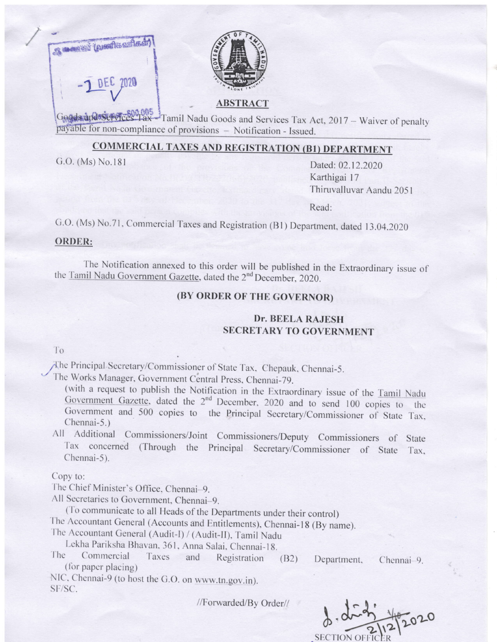



### **ABSTRACT**

e for non-compliance of provisions - Notification - Issued. Goods and Services Tax -- Tamil Nadu Goods and Services Tax Act, 2017 -- Waiver of penalty

# **COMMERCIAL TAXES AND REGISTRATION (B1) DEPARTMENT**

G.O. (Ms) No.181 Dated: 02.12.2020 Karthigai l7 'fhiruvalluvar Aandu 205 <sup>I</sup>

Read:

G.O. (Ms) No.71, Commercial Taxes and Registration (B1) Department, dated 13.04.2020

#### ORDER:

The Notification annexed to this order will be published in the Extraordinary issue of the Tamil Nadu Government Gazette, dated the 2<sup>nd</sup> December, 2020.

## (BY ORDER OF THE GOVERNOR)

## Dr. BEELA RAJESH SECRETARY TO GOVERNMENT

### T<sub>o</sub>

y'h. Principal Secretary/commissioner ol State 1'ax. chepauk. chennai-5. '/ 'l'he works Manager. Government Central press. chennai-79.

(with a request to publish the Notification in the Extraordinary issue of the Tamil Nadu<br>Government Gazette, dated the  $2<sup>nd</sup>$  December, 2020 and to send 100 copies to the Government and 500 copies to the Principal Secretary/Commissioner of State Tax, Chennai-5.)

All Additional Commissioners/Joint Commissioners/Deputy Commissioners of State Tax concerned (Through the Principal Secretary/Commissioner of State Tax. Chennai-5).

Copy to:

The Chief Minister's Office. Chennai-9.

All Secretaries to Government, Chennai-9.<br>(To communicate to all Heads of the Departments under their control)

The Accountant General (Accounts and Entitlements), Chennai-18 (By name). The Accountant General (Audit-I)/ (Audit-II), Tamil Nadu

Lekha Pariksha Bhavan, 361, Anna Salai, Chennai-18.<br>
The Commercial Taxes and Registration (B2) Department, Chennai-9.<br>
(for paper placing)

NIC, Chennai-9 (to host the G.O. on www.tn.gov.in). SF/SC.

//Forwarded/By Order//

2. R \ t,  $\widetilde{2}$ FIC 2020 t  $\gamma$ .